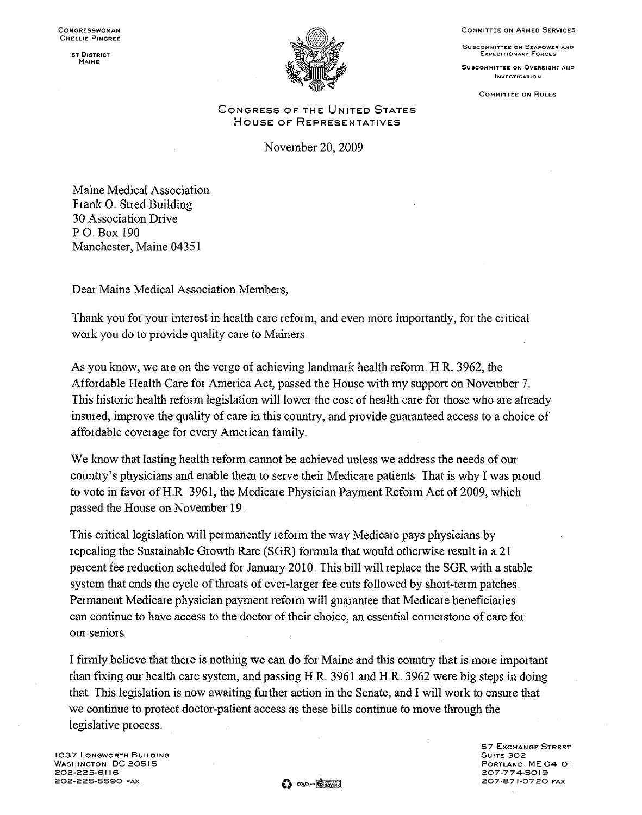**COMMITTEE ON ARMED SERVICES** 

**SUBCOMMITTEE ON SEAPOWER AND** EXPEDITIONARY FORCES

**SUBCOMMITTEE ON OVERSIGHT AND INVESTIGATION** 

**COMMITTEE ON RULES** 

**1ST DISTRICT MAINE:** 



CONGRESS OF THE UNITED STATES HOUSE OF REPRESENTATIVES

November 20,2009

Maine Medical Association Frank O. Stred Building 30 Association Drive PO Box 190 Manchester, Maine 04351

Dear Maine Medical Association Members,

Thank you for your interest in health care reform, and even more importantly, for the critical work you do to provide quality care to Mainers.

As you know, we are on the verge of achieving landmark health reform. H.R. 3962, the Affordable Health Care for America Act, passed the House with my support on November 7 .. This historic health reform legislation will lower the cost of health care for those who are already insured, improve the quality of care in this country, and provide guaranteed access to a choice of affordable coverage for every American family.

We know that lasting health reform cannot be achieved unless we address the needs of our country's physicians and enable them to serve their Medicare patients .. That is why I was proud to vote in favor of H.R. 3961, the Medicare Physician Payment Reform Act of 2009, which passed the House on November 19

This critical legislation will permanently reform the way Medicare pays physicians by repealing the Sustainable Growth Rate (SGR) formula that would otherwise result in a 21 percent fee reduction scheduled for January 2010. This bill will replace the SGR with a stable system that ends the cycle of threats of ever-larger fee cuts followed by short-term patches .. Permanent Medicare physician payment reform will guarantee that Medicare beneficiaries can continue to have access to the doctor of their choice, an essential cornerstone of care for our seniors ..

I firmly believe that there is nothing we can do for Maine and this country that is more important than fixing our health care system, and passing HR. 3961 and HR. 3962 were big steps in doing that. This legislation is now awaiting further action in the Senate, and I will work to ensure that we continue to protect doctor-patient access as these bills continue to move through the legislative process ..

**1037 LONGWORTH BUILDING WASHINGTON DC 20515 202·225·6116 202·225·5590 FAX** O"~""~I;;t **57 EXCHANGE: STREET SUITE 302 PORTLANO ME 04101 207·774·5019 207·871·0720 FAX**